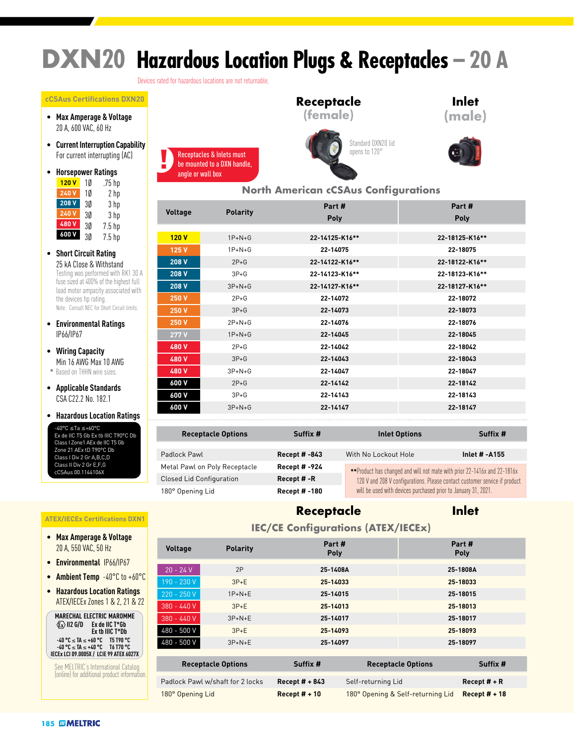# **DXN20 Hazardous Location Plugs & Receptacles – 20 A**

Devices rated for hazardous locations are not returnable.

#### **cCSAus Certifications DXN20**

- **Max Amperage & Voltage** 20 A, 600 VAC, 60 Hz
- **Current Interruption Capability** For current interrupting (AC)
- **Horsepower Ratings**

| 120V  | 10 | .75 hp            |
|-------|----|-------------------|
| 240V  | 10 | 2 hp              |
| 208 V | 3Ø | 3 hp              |
| 240V  | 3Ø | 3 hp              |
| 480 V | 3Ø | $7.5$ hp          |
| 600V  | 3Ø | 7.5 <sub>hp</sub> |

- **Short Circuit Rating** 25 kA Close & Withstand<br>Testing was performed with RK1 30 A fuse sized at 400% of the highest full load motor ampacity associated with the devices hp rating. Note: Consult NEC for Short Circuit limits.
- **Environmental Ratings** IP66/IP67
- **Wiring Capacity** Min 16 AWG Max 10 AWG \* Based on THHN wire sizes.
- **Applicable Standards** CSA C22.2 No. 182.1
- **Hazardous Location Ratings** -40°C ≤Ta ≤+60°C

Ex de IIC T5 Gb Ex tb IIIC T90°C Db Class I Zone1 AEx de IIC T5 Gb Zone 21 AEx tD T90°C Db Class I Div 2 Gr A,B,C,D Class II Div 2 Gr E,F,G cCSAus 00.1144106X

#### **ATEX/IECEx Certifications DXN1**

- **Max Amperage & Voltage** 20 A, 550 VAC, 50 Hz
- **Environmental** IP66/IP67
- **Ambient Temp** -40°C to +60°C
- **Hazardous Location Ratings** ATEX/IECEx Zones 1 & 2, 21 & 22

**MARECHAL ELECTRIC MAROMME II2 G/D Ex de IIC T\*Gb Ex tb IIIC T\*Db -40 °C** ≤ **TA** ≤ **+60 °C T5 T90 °C -40 °C** ≤ **TA** ≤ **+40 °C T6 T70 °C IECEx LCI 09.0005X / LCIE 99 ATEX 6027X**

See MELTRIC's International Catalog (online) for additional product information.





### **Inlet (male)**



#### **North American cCSAus Configurations**

| Part #<br>Part #                                                |  |
|-----------------------------------------------------------------|--|
| <b>Voltage</b><br><b>Polarity</b><br><b>Poly</b><br><b>Poly</b> |  |
|                                                                 |  |
| $1P+N+G$<br>22-14125-K16**<br>22-18125-K16**<br>120V            |  |
| $1P + N + G$<br>22-14075<br>22-18075<br>125 V                   |  |
| 208 V<br>$2P+G$<br>22-14122-K16**<br>22-18122-K16**             |  |
| $3P+G$<br>22-18123-K16**<br>208 V<br>22-14123-K16**             |  |
| 208 V<br>$3P+N+G$<br>22-14127-K16**<br>22-18127-K16**           |  |
| $2P+G$<br>250 V<br>22-14072<br>22-18072                         |  |
| $3P+G$<br>22-14073<br>22-18073<br>250 V                         |  |
| 250 V<br>$2P+N+G$<br>22-14076<br>22-18076                       |  |
| 22-14045<br>22-18045<br>277 V<br>$1P+N+G$                       |  |
| $2P+G$<br>22-14042<br>22-18042<br>480 V                         |  |
| $3P+G$<br>480 V<br>22-14043<br>22-18043                         |  |
| 22-14047<br>22-18047<br>$3P+N+G$<br>480 V                       |  |
| $2P+G$<br>22-14142<br>22-18142<br>600 V                         |  |
| $3P+G$<br>22-14143<br>22-18143<br>600 V                         |  |
| 22-14147<br>22-18147<br>600 V<br>$3P+N+G$                       |  |

| <b>Receptacle Options</b>       | Suffix #             | <b>Inlet Options</b>                                                                                                                         | Suffix #      |  |  |  |
|---------------------------------|----------------------|----------------------------------------------------------------------------------------------------------------------------------------------|---------------|--|--|--|
|                                 |                      |                                                                                                                                              |               |  |  |  |
| Padlock Pawl                    | <b>Recept # -843</b> | With No Lockout Hole                                                                                                                         | Inlet # -A155 |  |  |  |
| Metal Pawl on Poly Receptacle   | Recept # -924        | **Product has changed and will not mate with prior 22-1416x and 22-1816x                                                                     |               |  |  |  |
| <b>Closed Lid Configuration</b> | Recept #-R           | 120 V and 208 V configurations. Please contact customer service if product<br>will be used with devices purchased prior to January 31, 2021. |               |  |  |  |
| 180° Opening Lid                | <b>Recept # -180</b> |                                                                                                                                              |               |  |  |  |

## **Receptacle**

### **Inlet**

#### **IEC/CE Configurations (ATEX/IECEx)**

| <b>Voltage</b>            | <b>Polarity</b>                  | Part #<br><b>Poly</b> |                    |                           | Part #<br>Poly |  |
|---------------------------|----------------------------------|-----------------------|--------------------|---------------------------|----------------|--|
| $20 - 24 V$               | 2P                               | 25-1408A              |                    |                           | 25-1808A       |  |
|                           |                                  |                       |                    |                           |                |  |
| 190 - 230 V               | $3P+E$                           | 25-14033              |                    |                           | 25-18033       |  |
| $220 - 250V$              | $1P+N+E$                         | 25-14015              |                    |                           | 25-18015       |  |
| $380 - 440V$              | $3P+E$                           | 25-14013              |                    | 25-18013                  |                |  |
| 380 - 440 V               | $3P+N+E$                         | 25-14017              |                    |                           | 25-18017       |  |
| 480 - 500 V               | $3P+E$                           | 25-14093              |                    |                           | 25-18093       |  |
| 480 - 500 V               | $3P+N+E$                         | 25-14097              |                    |                           | 25-18097       |  |
|                           |                                  |                       |                    |                           |                |  |
| <b>Receptacle Options</b> |                                  | Suffix #              |                    | <b>Receptacle Options</b> | Suffix #       |  |
|                           |                                  |                       |                    |                           |                |  |
|                           | Padlock Pawl w/shaft for 2 locks | Recept $# + 843$      | Self-returning Lid |                           | Recept $#$ + R |  |

180° Opening Lid **Recept # + 10** 180° Opening & Self-returning Lid **Recept # + 18**